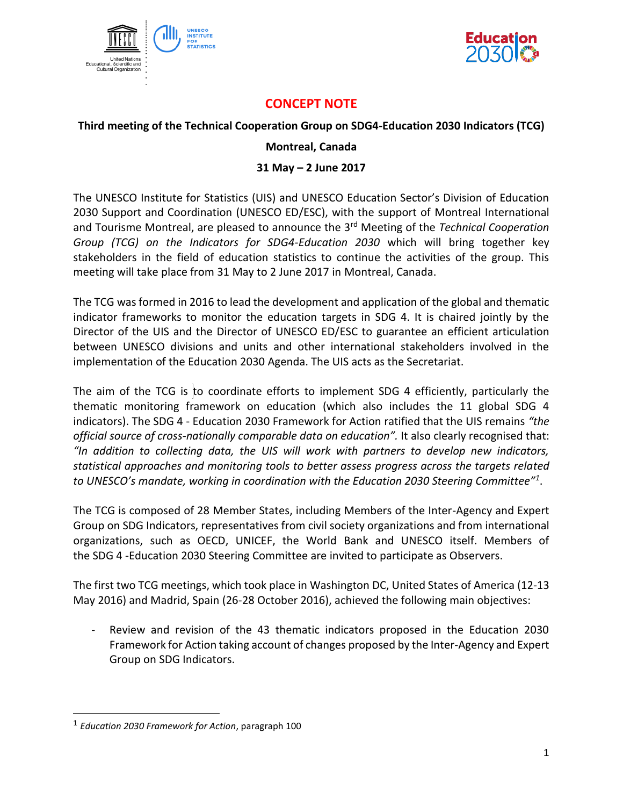



## **CONCEPT NOTE**

## **Third meeting of the Technical Cooperation Group on SDG4-Education 2030 Indicators (TCG)**

## **Montreal, Canada**

## **31 May – 2 June 2017**

The UNESCO Institute for Statistics (UIS) and UNESCO Education Sector's Division of Education 2030 Support and Coordination (UNESCO ED/ESC), with the support of Montreal International and Tourisme Montreal, are pleased to announce the 3rd Meeting of the *Technical Cooperation Group (TCG) on the Indicators for SDG4-Education 2030* which will bring together key stakeholders in the field of education statistics to continue the activities of the group. This meeting will take place from 31 May to 2 June 2017 in Montreal, Canada.

The TCG was formed in 2016 to lead the development and application of the global and thematic indicator frameworks to monitor the education targets in SDG 4. It is chaired jointly by the Director of the UIS and the Director of UNESCO ED/ESC to guarantee an efficient articulation between UNESCO divisions and units and other international stakeholders involved in the implementation of the Education 2030 Agenda. The UIS acts as the Secretariat.

The aim of the TCG is to coordinate efforts to implement SDG 4 efficiently, particularly the thematic monitoring framework on education (which also includes the 11 global SDG 4 indicators). The SDG 4 - Education 2030 Framework for Action ratified that the UIS remains *"the official source of cross-nationally comparable data on education".* It also clearly recognised that: *"In addition to collecting data, the UIS will work with partners to develop new indicators, statistical approaches and monitoring tools to better assess progress across the targets related to UNESCO's mandate, working in coordination with the Education 2030 Steering Committee"<sup>1</sup>* .

The TCG is composed of 28 Member States, including Members of the Inter-Agency and Expert Group on SDG Indicators, representatives from civil society organizations and from international organizations, such as OECD, UNICEF, the World Bank and UNESCO itself. Members of the SDG 4 -Education 2030 Steering Committee are invited to participate as Observers.

The first two TCG meetings, which took place in Washington DC, United States of America (12-13 May 2016) and Madrid, Spain (26-28 October 2016), achieved the following main objectives:

- Review and revision of the 43 thematic indicators proposed in the Education 2030 Framework for Action taking account of changes proposed by the Inter-Agency and Expert Group on SDG Indicators.

l

<sup>1</sup> *Education 2030 Framework for Action*, paragraph 100